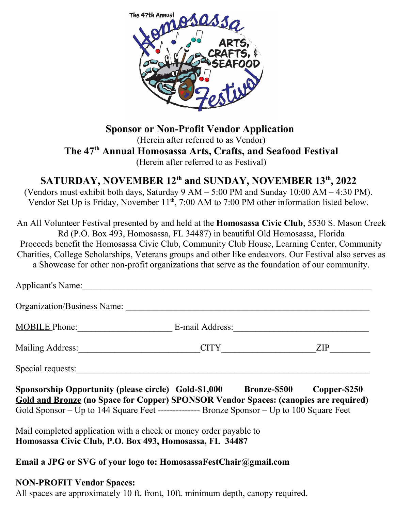

**Sponsor or Non-Profit Vendor Application**  (Herein after referred to as Vendor) **The 47th Annual Homosassa Arts, Crafts, and Seafood Festival** (Herein after referred to as Festival)

### **SATURDAY, NOVEMBER 12th and SUNDAY, NOVEMBER 13th , 2022**

(Vendors must exhibit both days, Saturday 9 AM – 5:00 PM and Sunday 10:00 AM – 4:30 PM). Vendor Set Up is Friday, November 11<sup>th</sup>, 7:00 AM to 7:00 PM other information listed below.

An All Volunteer Festival presented by and held at the **Homosassa Civic Club**, 5530 S. Mason Creek Rd (P.O. Box 493, Homosassa, FL 34487) in beautiful Old Homosassa, Florida Proceeds benefit the Homosassa Civic Club, Community Club House, Learning Center, Community Charities, College Scholarships, Veterans groups and other like endeavors. Our Festival also serves as a Showcase for other non-profit organizations that serve as the foundation of our community.

| <b>Applicant's Name:</b>                                                                                                                                                                                                                                        |                 |              |
|-----------------------------------------------------------------------------------------------------------------------------------------------------------------------------------------------------------------------------------------------------------------|-----------------|--------------|
| Organization/Business Name:                                                                                                                                                                                                                                     |                 |              |
| <b>MOBILE Phone:</b>                                                                                                                                                                                                                                            | E-mail Address: |              |
|                                                                                                                                                                                                                                                                 | CITY THE CITY   | ZIP          |
| Special requests:                                                                                                                                                                                                                                               |                 |              |
| Sponsorship Opportunity (please circle) Gold-\$1,000 Bronze-\$500<br><b>Gold and Bronze (no Space for Copper) SPONSOR Vendor Spaces: (canopies are required)</b><br>Gold Sponsor – Up to 144 Square Feet --------------- Bronze Sponsor – Up to 100 Square Feet |                 | Copper-\$250 |
| Mail completed application with a check or money order payable to<br>Homosassa Civic Club, P.O. Box 493, Homosassa, FL 34487                                                                                                                                    |                 |              |

#### **Email a JPG or SVG of your logo to: HomosassaFestChair@gmail.com**

#### **NON-PROFIT Vendor Spaces:**

All spaces are approximately 10 ft. front, 10ft. minimum depth, canopy required.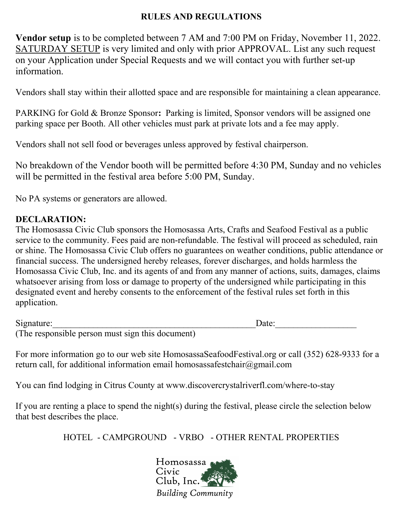### **RULES AND REGULATIONS**

**Vendor setup** is to be completed between 7 AM and 7:00 PM on Friday, November 11, 2022. SATURDAY SETUP is very limited and only with prior APPROVAL. List any such request on your Application under Special Requests and we will contact you with further set-up information.

Vendors shall stay within their allotted space and are responsible for maintaining a clean appearance.

PARKING for Gold & Bronze Sponsor**:** Parking is limited, Sponsor vendors will be assigned one parking space per Booth. All other vehicles must park at private lots and a fee may apply.

Vendors shall not sell food or beverages unless approved by festival chairperson.

No breakdown of the Vendor booth will be permitted before 4:30 PM, Sunday and no vehicles will be permitted in the festival area before 5:00 PM, Sunday.

No PA systems or generators are allowed.

### **DECLARATION:**

The Homosassa Civic Club sponsors the Homosassa Arts, Crafts and Seafood Festival as a public service to the community. Fees paid are non-refundable. The festival will proceed as scheduled, rain or shine. The Homosassa Civic Club offers no guarantees on weather conditions, public attendance or financial success. The undersigned hereby releases, forever discharges, and holds harmless the Homosassa Civic Club, Inc. and its agents of and from any manner of actions, suits, damages, claims whatsoever arising from loss or damage to property of the undersigned while participating in this designated event and hereby consents to the enforcement of the festival rules set forth in this application.

| Signature:                                       | Date: |
|--------------------------------------------------|-------|
| (The responsible person must sign this document) |       |

For more information go to our web site HomosassaSeafoodFestival.org or call (352) 628-9333 for a return call, for additional information email homosassafestchair@gmail.com

You can find lodging in Citrus County at www.discovercrystalriverfl.com/where-to-stay

If you are renting a place to spend the night(s) during the festival, please circle the selection below that best describes the place.

HOTEL - CAMPGROUND - VRBO - OTHER RENTAL PROPERTIES